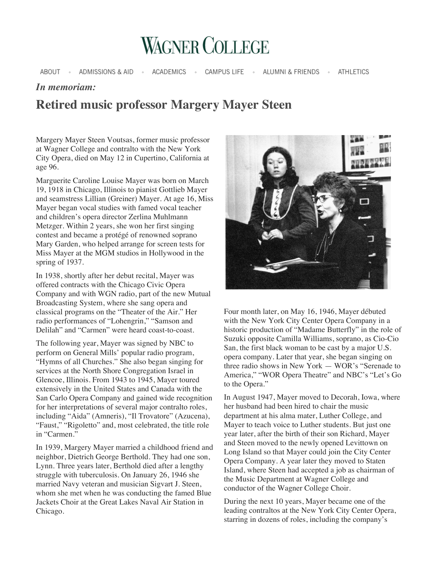

ABOUT ® ADMISSIONS & AID **ACADEMICS CAMPUS LIFE** ALUMNI & FRIENDS . ATHLETICS

## *In memoriam:*

## **Retired music professor Margery Mayer Steen**

Margery Mayer Steen Voutsas, former music professor at Wagner College and contralto with the New York City Opera, died on May 12 in Cupertino, California at age 96.

Marguerite Caroline Louise Mayer was born on March 19, 1918 in Chicago, Illinois to pianist Gottlieb Mayer and seamstress Lillian (Greiner) Mayer. At age 16, Miss Mayer began vocal studies with famed vocal teacher and children's opera director Zerlina Muhlmann Metzger. Within 2 years, she won her first singing contest and became a protégé of renowned soprano Mary Garden, who helped arrange for screen tests for Miss Mayer at the MGM studios in Hollywood in the spring of 1937.

In 1938, shortly after her debut recital, Mayer was offered contracts with the Chicago Civic Opera Company and with WGN radio, part of the new Mutual Broadcasting System, where she sang opera and classical programs on the "Theater of the Air." Her radio performances of "Lohengrin," "Samson and Delilah" and "Carmen" were heard coast-to-coast.

The following year, Mayer was signed by NBC to perform on General Mills' popular radio program, "Hymns of all Churches." She also began singing for services at the North Shore Congregation Israel in Glencoe, Illinois. From 1943 to 1945, Mayer toured extensively in the United States and Canada with the San Carlo Opera Company and gained wide recognition for her interpretations of several major contralto roles, including "Aida" (Amneris), "Il Trovatore" (Azucena), "Faust," "Rigoletto" and, most celebrated, the title role in "Carmen."

In 1939, Margery Mayer married a childhood friend and neighbor, Dietrich George Berthold. They had one son, Lynn. Three years later, Berthold died after a lengthy struggle with tuberculosis. On January 26, 1946 she married Navy veteran and musician Sigvart J. Steen, whom she met when he was conducting the famed Blue Jackets Choir at the Great Lakes Naval Air Station in Chicago.



Four month later, on May 16, 1946, Mayer débuted with the New York City Center Opera Company in a historic production of "Madame Butterfly" in the role of Suzuki opposite Camilla Williams, soprano, as Cio-Cio San, the first black woman to be cast by a major U.S. opera company. Later that year, she began singing on three radio shows in New York — WOR's "Serenade to America," "WOR Opera Theatre" and NBC's "Let's Go to the Opera."

In August 1947, Mayer moved to Decorah, Iowa, where her husband had been hired to chair the music department at his alma mater, Luther College, and Mayer to teach voice to Luther students. But just one year later, after the birth of their son Richard, Mayer and Steen moved to the newly opened Levittown on Long Island so that Mayer could join the City Center Opera Company. A year later they moved to Staten Island, where Steen had accepted a job as chairman of the Music Department at Wagner College and conductor of the Wagner College Choir.

During the next 10 years, Mayer became one of the leading contraltos at the New York City Center Opera, starring in dozens of roles, including the company's